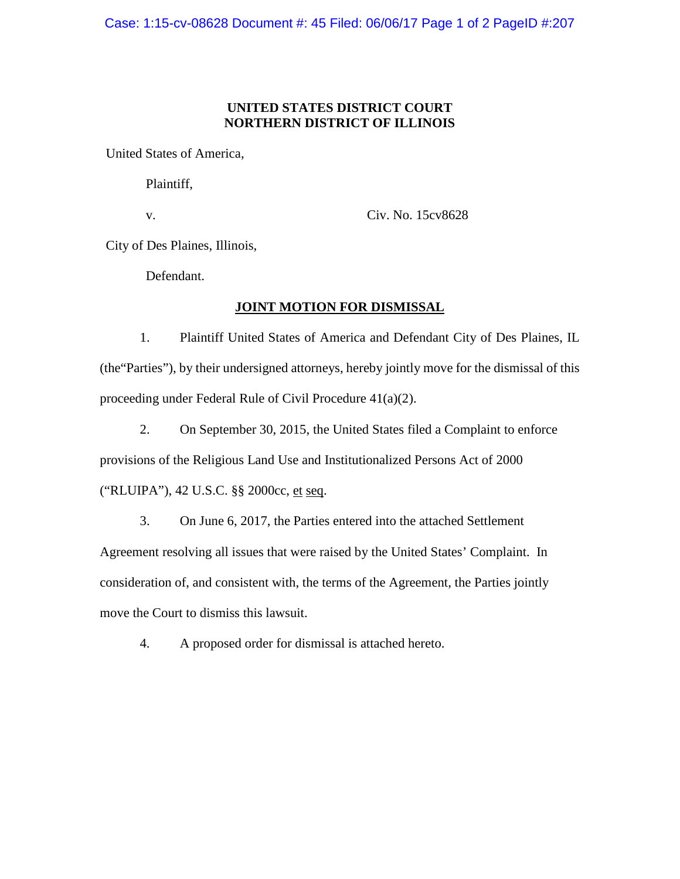## **UNITED STATES DISTRICT COURT NORTHERN DISTRICT OF ILLINOIS**

United States of America,

Plaintiff,

v.

Civ. No. 15cv8628

City of Des Plaines, Illinois,

Defendant.

# **JOINT MOTION FOR DISMISSAL**

1. Plaintiff United States of America and Defendant City of Des Plaines, IL (the"Parties"), by their undersigned attorneys, hereby jointly move for the dismissal of this proceeding under Federal Rule of Civil Procedure 41(a)(2).

2. On September 30, 2015, the United States filed a Complaint to enforce

provisions of the Religious Land Use and Institutionalized Persons Act of 2000

("RLUIPA"), 42 U.S.C. §§ 2000cc, et seq.

3. On June 6, 2017, the Parties entered into the attached Settlement Agreement resolving all issues that were raised by the United States' Complaint. In consideration of, and consistent with, the terms of the Agreement, the Parties jointly move the Court to dismiss this lawsuit.

4. A proposed order for dismissal is attached hereto.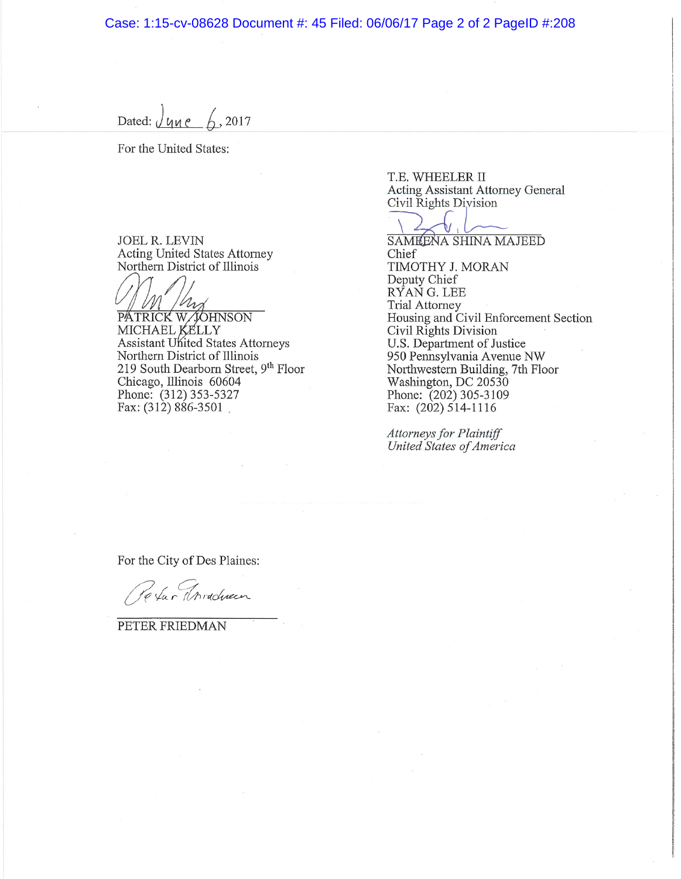Case: 1:15-cv-08628 Document #: 45 Filed: 06/06/17 Page 2 of 2 PageID #:208

Dated:  $\sqrt{y_1e^2 + 2017}$ 

For the United States:

JOEL R. LEVIN **Acting United States Attorney** Northern District of Illinois

PATRICK W JOHNSON Assistant United States Attorneys Northern District of Illinois 219 South Dearborn Street,  $9<sup>th</sup>$  Floor Chicago, Illinois 60604 Phone: (312) 353-5327 Fax:  $(312) 886 - 3501$ 

T.E. WHEELER II **Acting Assistant Attorney General** Civil Rights Division

**SAMEENA SHINA MAJEED** 

Chief TIMOTHY J. MORAN Deputy Chief RYAN G. LEE **Trial Attorney** Housing and Civil Enforcement Section Civil Rights Division U.S. Department of Justice 950 Pennsylvania Avenue NW Northwestern Building, 7th Floor Washington, DC 20530 Phone: (202) 305-3109 Fax: (202) 514-1116

Attorneys for Plaintiff United States of America

For the City of Des Plaines:

Pe far Threducen

PETER FRIEDMAN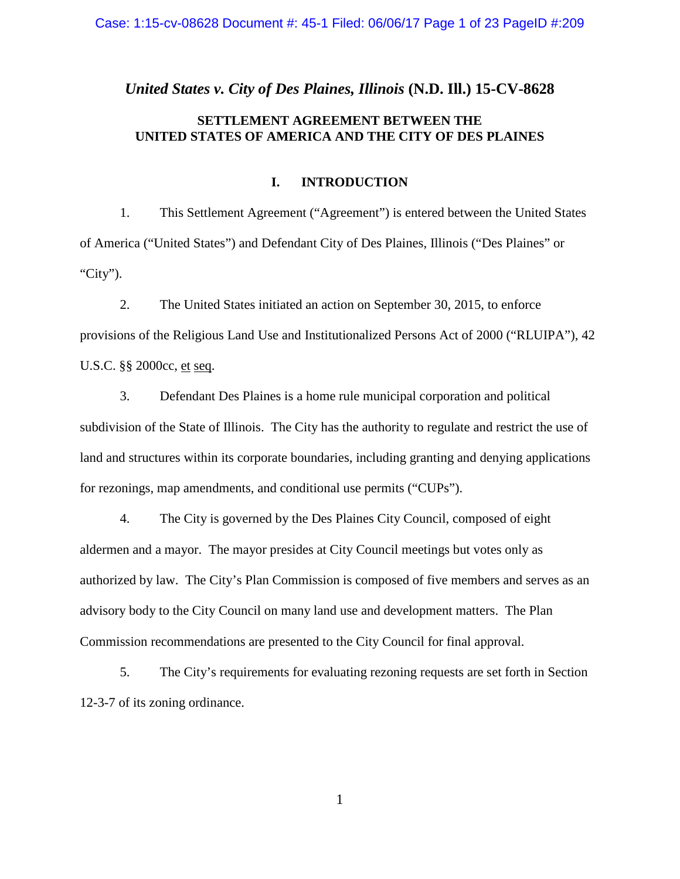## *United States v. City of Des Plaines, Illinois* **(N.D. Ill.) 15-CV-8628**

# **SETTLEMENT AGREEMENT BETWEEN THE UNITED STATES OF AMERICA AND THE CITY OF DES PLAINES**

# **I. INTRODUCTION**

1. This Settlement Agreement ("Agreement") is entered between the United States of America ("United States") and Defendant City of Des Plaines, Illinois ("Des Plaines" or "City").

2. The United States initiated an action on September 30, 2015, to enforce provisions of the Religious Land Use and Institutionalized Persons Act of 2000 ("RLUIPA"), 42 U.S.C. §§ 2000cc, et seq.

3. Defendant Des Plaines is a home rule municipal corporation and political subdivision of the State of Illinois. The City has the authority to regulate and restrict the use of land and structures within its corporate boundaries, including granting and denying applications for rezonings, map amendments, and conditional use permits ("CUPs").

4. The City is governed by the Des Plaines City Council, composed of eight aldermen and a mayor. The mayor presides at City Council meetings but votes only as authorized by law. The City's Plan Commission is composed of five members and serves as an advisory body to the City Council on many land use and development matters. The Plan Commission recommendations are presented to the City Council for final approval.

5. The City's requirements for evaluating rezoning requests are set forth in Section 12-3-7 of its zoning ordinance.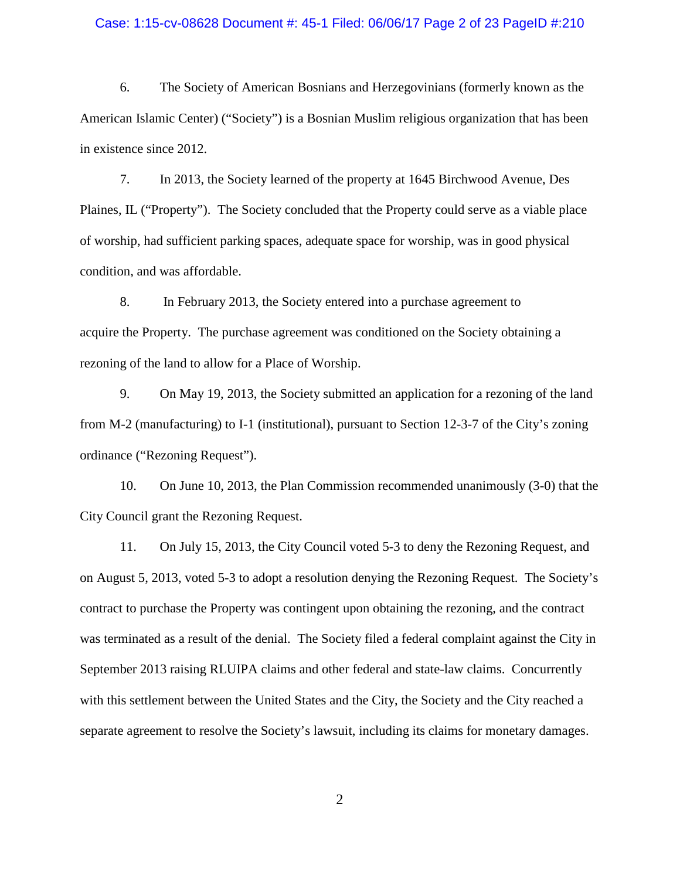#### Case: 1:15-cv-08628 Document #: 45-1 Filed: 06/06/17 Page 2 of 23 PageID #:210

6. The Society of American Bosnians and Herzegovinians (formerly known as the American Islamic Center) ("Society") is a Bosnian Muslim religious organization that has been in existence since 2012.

7. In 2013, the Society learned of the property at 1645 Birchwood Avenue, Des Plaines, IL ("Property"). The Society concluded that the Property could serve as a viable place of worship, had sufficient parking spaces, adequate space for worship, was in good physical condition, and was affordable.

8. In February 2013, the Society entered into a purchase agreement to acquire the Property. The purchase agreement was conditioned on the Society obtaining a rezoning of the land to allow for a Place of Worship.

9. On May 19, 2013, the Society submitted an application for a rezoning of the land from M-2 (manufacturing) to I-1 (institutional), pursuant to Section 12-3-7 of the City's zoning ordinance ("Rezoning Request").

10. On June 10, 2013, the Plan Commission recommended unanimously (3-0) that the City Council grant the Rezoning Request.

11. On July 15, 2013, the City Council voted 5-3 to deny the Rezoning Request, and on August 5, 2013, voted 5-3 to adopt a resolution denying the Rezoning Request. The Society's contract to purchase the Property was contingent upon obtaining the rezoning, and the contract was terminated as a result of the denial. The Society filed a federal complaint against the City in September 2013 raising RLUIPA claims and other federal and state-law claims. Concurrently with this settlement between the United States and the City, the Society and the City reached a separate agreement to resolve the Society's lawsuit, including its claims for monetary damages.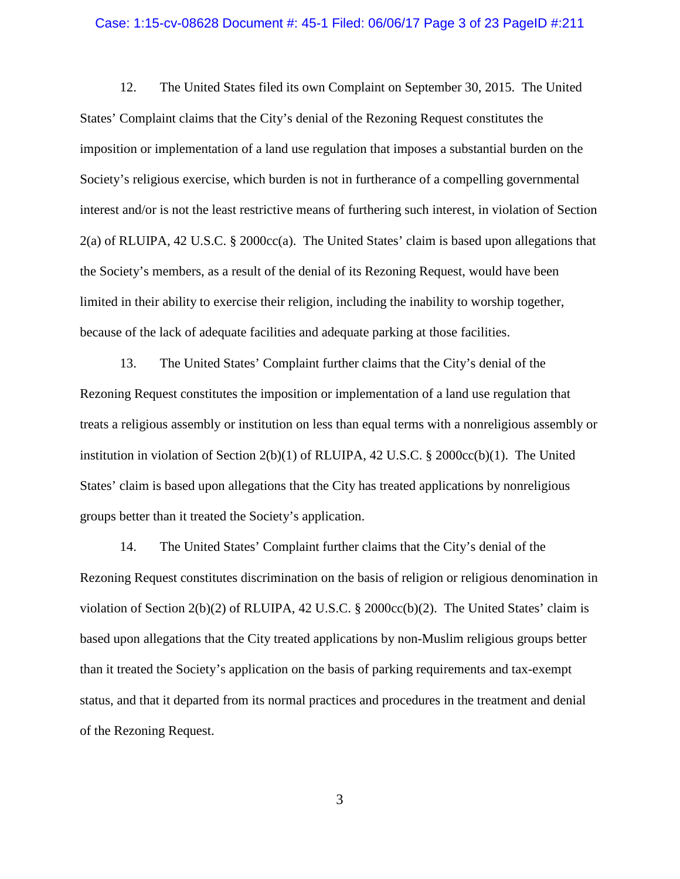#### Case: 1:15-cv-08628 Document #: 45-1 Filed: 06/06/17 Page 3 of 23 PageID #:211

12. The United States filed its own Complaint on September 30, 2015. The United States' Complaint claims that the City's denial of the Rezoning Request constitutes the imposition or implementation of a land use regulation that imposes a substantial burden on the Society's religious exercise, which burden is not in furtherance of a compelling governmental interest and/or is not the least restrictive means of furthering such interest, in violation of Section 2(a) of RLUIPA, 42 U.S.C. § 2000cc(a). The United States' claim is based upon allegations that the Society's members, as a result of the denial of its Rezoning Request, would have been limited in their ability to exercise their religion, including the inability to worship together, because of the lack of adequate facilities and adequate parking at those facilities.

13. The United States' Complaint further claims that the City's denial of the Rezoning Request constitutes the imposition or implementation of a land use regulation that treats a religious assembly or institution on less than equal terms with a nonreligious assembly or institution in violation of Section 2(b)(1) of RLUIPA, 42 U.S.C. § 2000cc(b)(1). The United States' claim is based upon allegations that the City has treated applications by nonreligious groups better than it treated the Society's application.

14. The United States' Complaint further claims that the City's denial of the Rezoning Request constitutes discrimination on the basis of religion or religious denomination in violation of Section 2(b)(2) of RLUIPA, 42 U.S.C. § 2000cc(b)(2). The United States' claim is based upon allegations that the City treated applications by non-Muslim religious groups better than it treated the Society's application on the basis of parking requirements and tax-exempt status, and that it departed from its normal practices and procedures in the treatment and denial of the Rezoning Request.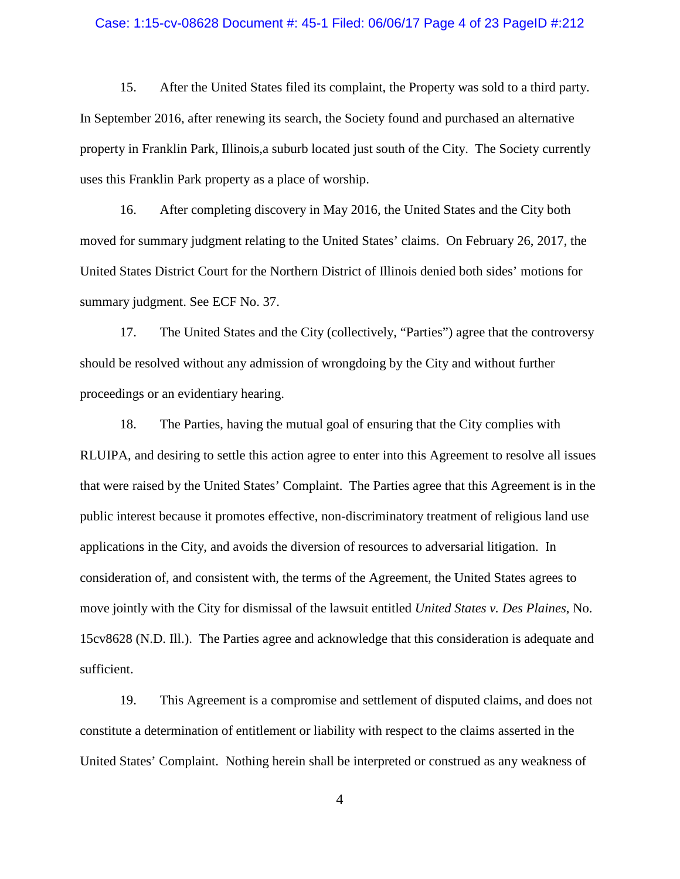### Case: 1:15-cv-08628 Document #: 45-1 Filed: 06/06/17 Page 4 of 23 PageID #:212

15. After the United States filed its complaint, the Property was sold to a third party. In September 2016, after renewing its search, the Society found and purchased an alternative property in Franklin Park, Illinois,a suburb located just south of the City. The Society currently uses this Franklin Park property as a place of worship.

16. After completing discovery in May 2016, the United States and the City both moved for summary judgment relating to the United States' claims. On February 26, 2017, the United States District Court for the Northern District of Illinois denied both sides' motions for summary judgment. See ECF No. 37.

17. The United States and the City (collectively, "Parties") agree that the controversy should be resolved without any admission of wrongdoing by the City and without further proceedings or an evidentiary hearing.

18. The Parties, having the mutual goal of ensuring that the City complies with RLUIPA, and desiring to settle this action agree to enter into this Agreement to resolve all issues that were raised by the United States' Complaint. The Parties agree that this Agreement is in the public interest because it promotes effective, non-discriminatory treatment of religious land use applications in the City, and avoids the diversion of resources to adversarial litigation. In consideration of, and consistent with, the terms of the Agreement, the United States agrees to move jointly with the City for dismissal of the lawsuit entitled *United States v. Des Plaines*, No. 15cv8628 (N.D. Ill.). The Parties agree and acknowledge that this consideration is adequate and sufficient.

19. This Agreement is a compromise and settlement of disputed claims, and does not constitute a determination of entitlement or liability with respect to the claims asserted in the United States' Complaint. Nothing herein shall be interpreted or construed as any weakness of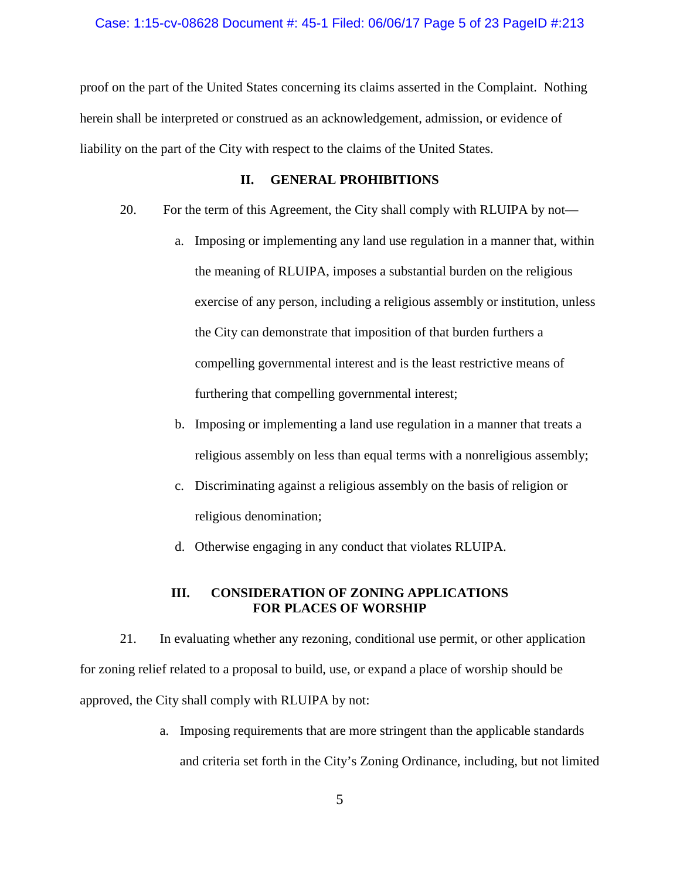#### Case: 1:15-cv-08628 Document #: 45-1 Filed: 06/06/17 Page 5 of 23 PageID #:213

proof on the part of the United States concerning its claims asserted in the Complaint. Nothing herein shall be interpreted or construed as an acknowledgement, admission, or evidence of liability on the part of the City with respect to the claims of the United States.

### **II. GENERAL PROHIBITIONS**

- 20. For the term of this Agreement, the City shall comply with RLUIPA by not
	- a. Imposing or implementing any land use regulation in a manner that, within the meaning of RLUIPA, imposes a substantial burden on the religious exercise of any person, including a religious assembly or institution, unless the City can demonstrate that imposition of that burden furthers a compelling governmental interest and is the least restrictive means of furthering that compelling governmental interest;
	- b. Imposing or implementing a land use regulation in a manner that treats a religious assembly on less than equal terms with a nonreligious assembly;
	- c. Discriminating against a religious assembly on the basis of religion or religious denomination;
	- d. Otherwise engaging in any conduct that violates RLUIPA.

## **III. CONSIDERATION OF ZONING APPLICATIONS FOR PLACES OF WORSHIP**

21. In evaluating whether any rezoning, conditional use permit, or other application for zoning relief related to a proposal to build, use, or expand a place of worship should be approved, the City shall comply with RLUIPA by not:

> a. Imposing requirements that are more stringent than the applicable standards and criteria set forth in the City's Zoning Ordinance, including, but not limited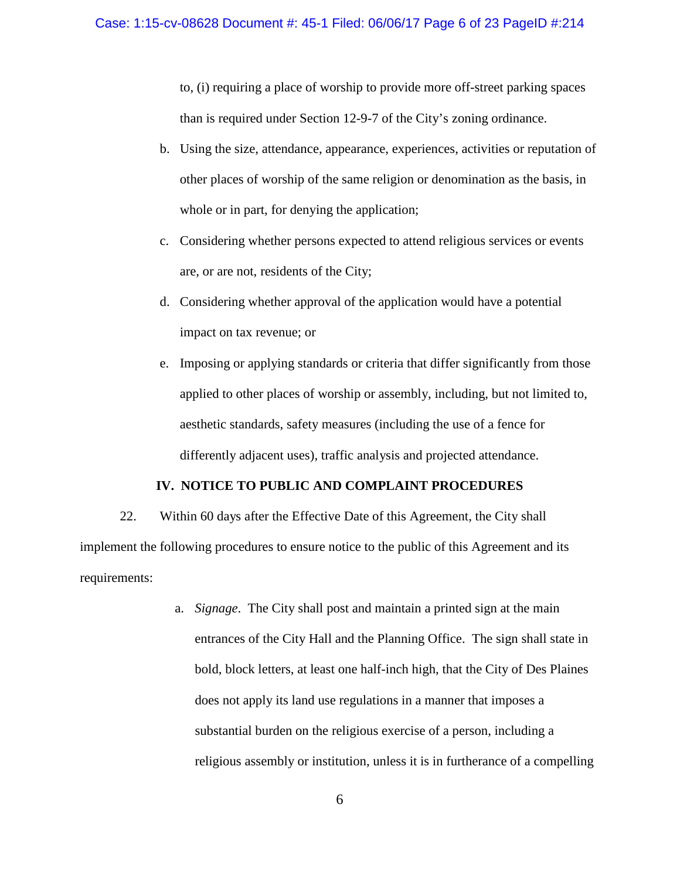to, (i) requiring a place of worship to provide more off-street parking spaces than is required under Section 12-9-7 of the City's zoning ordinance.

- b. Using the size, attendance, appearance, experiences, activities or reputation of other places of worship of the same religion or denomination as the basis, in whole or in part, for denying the application;
- c. Considering whether persons expected to attend religious services or events are, or are not, residents of the City;
- d. Considering whether approval of the application would have a potential impact on tax revenue; or
- e. Imposing or applying standards or criteria that differ significantly from those applied to other places of worship or assembly, including, but not limited to, aesthetic standards, safety measures (including the use of a fence for differently adjacent uses), traffic analysis and projected attendance.

## **IV. NOTICE TO PUBLIC AND COMPLAINT PROCEDURES**

22. Within 60 days after the Effective Date of this Agreement, the City shall implement the following procedures to ensure notice to the public of this Agreement and its requirements:

> a. *Signage*. The City shall post and maintain a printed sign at the main entrances of the City Hall and the Planning Office. The sign shall state in bold, block letters, at least one half-inch high, that the City of Des Plaines does not apply its land use regulations in a manner that imposes a substantial burden on the religious exercise of a person, including a religious assembly or institution, unless it is in furtherance of a compelling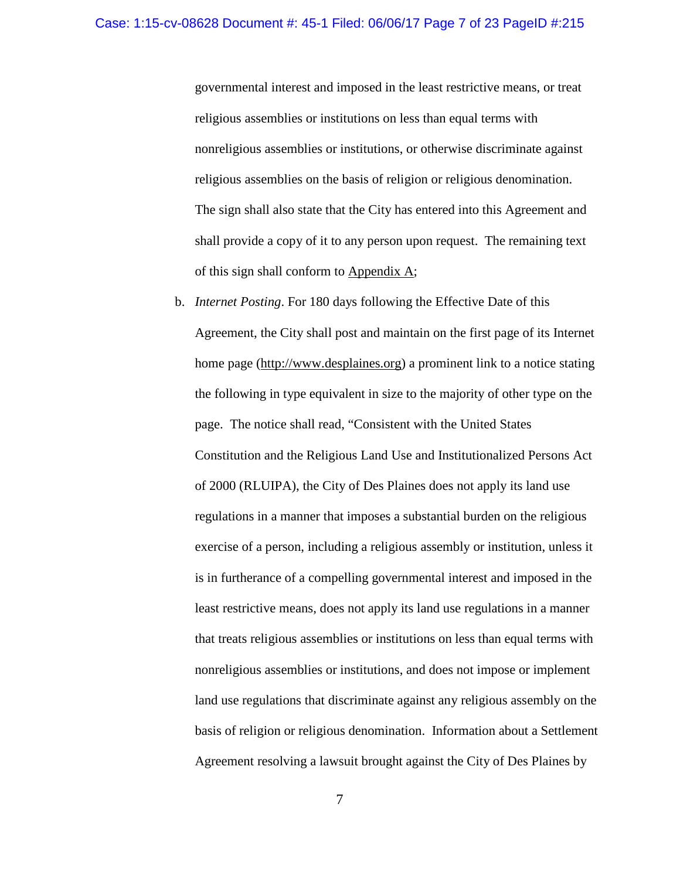governmental interest and imposed in the least restrictive means, or treat religious assemblies or institutions on less than equal terms with nonreligious assemblies or institutions, or otherwise discriminate against religious assemblies on the basis of religion or religious denomination. The sign shall also state that the City has entered into this Agreement and shall provide a copy of it to any person upon request. The remaining text of this sign shall conform to Appendix A;

b. *Internet Posting*. For 180 days following the Effective Date of this Agreement, the City shall post and maintain on the first page of its Internet home page [\(http://www.desplaines.org\)](http://www.desplaines.org/) a prominent link to a notice stating the following in type equivalent in size to the majority of other type on the page. The notice shall read, "Consistent with the United States Constitution and the Religious Land Use and Institutionalized Persons Act of 2000 (RLUIPA), the City of Des Plaines does not apply its land use regulations in a manner that imposes a substantial burden on the religious exercise of a person, including a religious assembly or institution, unless it is in furtherance of a compelling governmental interest and imposed in the least restrictive means, does not apply its land use regulations in a manner that treats religious assemblies or institutions on less than equal terms with nonreligious assemblies or institutions, and does not impose or implement land use regulations that discriminate against any religious assembly on the basis of religion or religious denomination. Information about a Settlement Agreement resolving a lawsuit brought against the City of Des Plaines by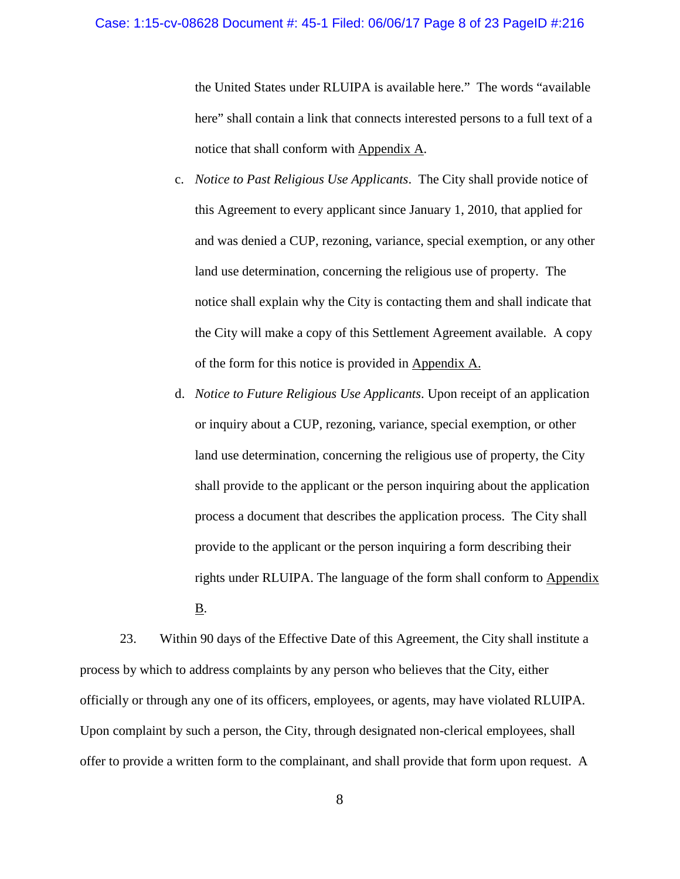#### Case: 1:15-cv-08628 Document #: 45-1 Filed: 06/06/17 Page 8 of 23 PageID #:216

the United States under RLUIPA is available here." The words "available here" shall contain a link that connects interested persons to a full text of a notice that shall conform with Appendix A.

- c. *Notice to Past Religious Use Applicants*. The City shall provide notice of this Agreement to every applicant since January 1, 2010, that applied for and was denied a CUP, rezoning, variance, special exemption, or any other land use determination, concerning the religious use of property. The notice shall explain why the City is contacting them and shall indicate that the City will make a copy of this Settlement Agreement available. A copy of the form for this notice is provided in Appendix A.
- d. *Notice to Future Religious Use Applicants*. Upon receipt of an application or inquiry about a CUP, rezoning, variance, special exemption, or other land use determination, concerning the religious use of property, the City shall provide to the applicant or the person inquiring about the application process a document that describes the application process. The City shall provide to the applicant or the person inquiring a form describing their rights under RLUIPA. The language of the form shall conform to Appendix B.

23. Within 90 days of the Effective Date of this Agreement, the City shall institute a process by which to address complaints by any person who believes that the City, either officially or through any one of its officers, employees, or agents, may have violated RLUIPA. Upon complaint by such a person, the City, through designated non-clerical employees, shall offer to provide a written form to the complainant, and shall provide that form upon request. A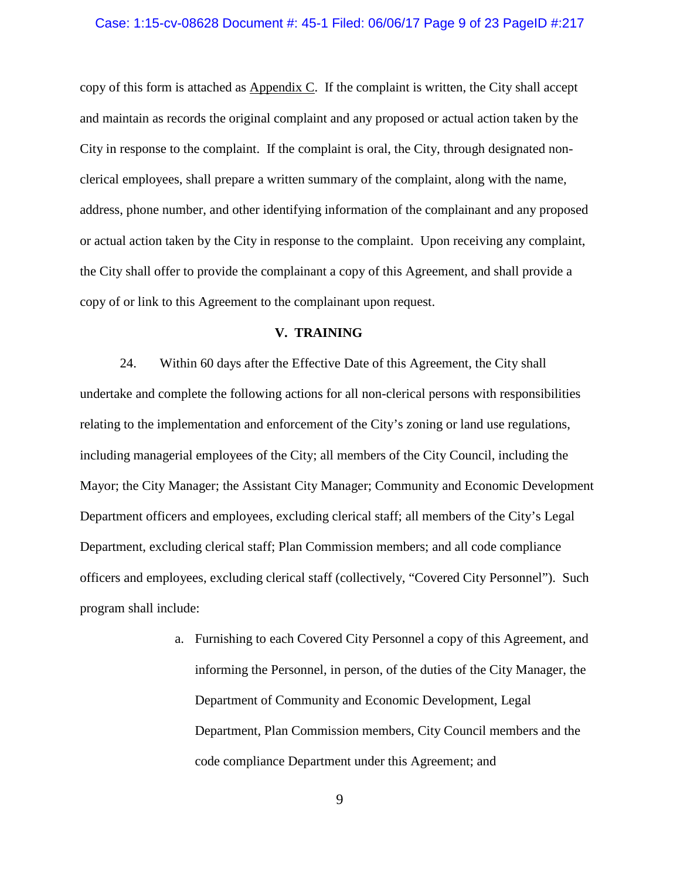#### Case: 1:15-cv-08628 Document #: 45-1 Filed: 06/06/17 Page 9 of 23 PageID #:217

copy of this form is attached as Appendix C. If the complaint is written, the City shall accept and maintain as records the original complaint and any proposed or actual action taken by the City in response to the complaint. If the complaint is oral, the City, through designated nonclerical employees, shall prepare a written summary of the complaint, along with the name, address, phone number, and other identifying information of the complainant and any proposed or actual action taken by the City in response to the complaint. Upon receiving any complaint, the City shall offer to provide the complainant a copy of this Agreement, and shall provide a copy of or link to this Agreement to the complainant upon request.

### **V. TRAINING**

24. Within 60 days after the Effective Date of this Agreement, the City shall undertake and complete the following actions for all non-clerical persons with responsibilities relating to the implementation and enforcement of the City's zoning or land use regulations, including managerial employees of the City; all members of the City Council, including the Mayor; the City Manager; the Assistant City Manager; Community and Economic Development Department officers and employees, excluding clerical staff; all members of the City's Legal Department, excluding clerical staff; Plan Commission members; and all code compliance officers and employees, excluding clerical staff (collectively, "Covered City Personnel"). Such program shall include:

> a. Furnishing to each Covered City Personnel a copy of this Agreement, and informing the Personnel, in person, of the duties of the City Manager, the Department of Community and Economic Development, Legal Department, Plan Commission members, City Council members and the code compliance Department under this Agreement; and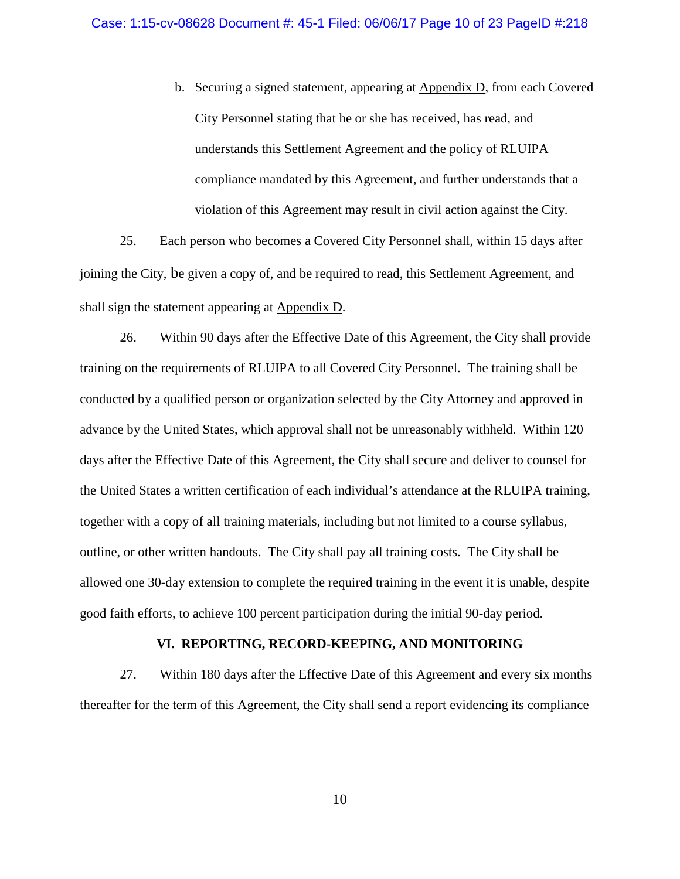b. Securing a signed statement, appearing at Appendix D, from each Covered City Personnel stating that he or she has received, has read, and understands this Settlement Agreement and the policy of RLUIPA compliance mandated by this Agreement, and further understands that a violation of this Agreement may result in civil action against the City.

25. Each person who becomes a Covered City Personnel shall, within 15 days after joining the City, be given a copy of, and be required to read, this Settlement Agreement, and shall sign the statement appearing at Appendix D.

26. Within 90 days after the Effective Date of this Agreement, the City shall provide training on the requirements of RLUIPA to all Covered City Personnel. The training shall be conducted by a qualified person or organization selected by the City Attorney and approved in advance by the United States, which approval shall not be unreasonably withheld. Within 120 days after the Effective Date of this Agreement, the City shall secure and deliver to counsel for the United States a written certification of each individual's attendance at the RLUIPA training, together with a copy of all training materials, including but not limited to a course syllabus, outline, or other written handouts. The City shall pay all training costs. The City shall be allowed one 30-day extension to complete the required training in the event it is unable, despite good faith efforts, to achieve 100 percent participation during the initial 90-day period.

## **VI. REPORTING, RECORD-KEEPING, AND MONITORING**

27. Within 180 days after the Effective Date of this Agreement and every six months thereafter for the term of this Agreement, the City shall send a report evidencing its compliance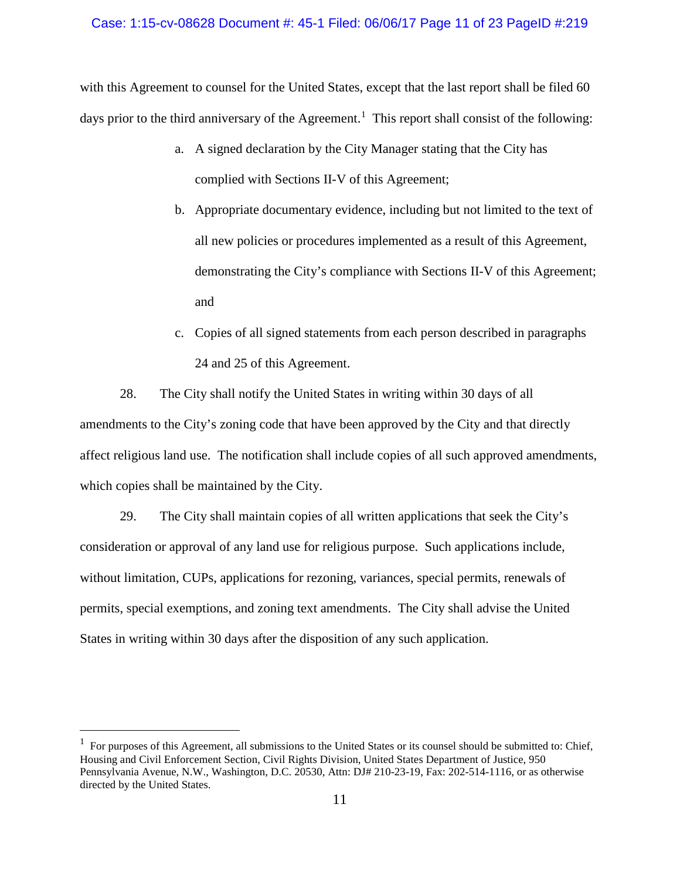#### Case: 1:15-cv-08628 Document #: 45-1 Filed: 06/06/17 Page 11 of 23 PageID #:219

with this Agreement to counsel for the United States, except that the last report shall be filed 60 days prior to the third anniversary of the Agreement.<sup>[1](#page-12-0)</sup> This report shall consist of the following:

- a. A signed declaration by the City Manager stating that the City has complied with Sections II-V of this Agreement;
- b. Appropriate documentary evidence, including but not limited to the text of all new policies or procedures implemented as a result of this Agreement, demonstrating the City's compliance with Sections II-V of this Agreement; and
- c. Copies of all signed statements from each person described in paragraphs 24 and 25 of this Agreement.

28. The City shall notify the United States in writing within 30 days of all amendments to the City's zoning code that have been approved by the City and that directly affect religious land use. The notification shall include copies of all such approved amendments, which copies shall be maintained by the City.

29. The City shall maintain copies of all written applications that seek the City's consideration or approval of any land use for religious purpose. Such applications include, without limitation, CUPs, applications for rezoning, variances, special permits, renewals of permits, special exemptions, and zoning text amendments. The City shall advise the United States in writing within 30 days after the disposition of any such application.

<span id="page-12-0"></span> $\frac{1}{1}$  $<sup>1</sup>$  For purposes of this Agreement, all submissions to the United States or its counsel should be submitted to: Chief,</sup> Housing and Civil Enforcement Section, Civil Rights Division, United States Department of Justice, 950 Pennsylvania Avenue, N.W., Washington, D.C. 20530, Attn: DJ# 210-23-19, Fax: 202-514-1116, or as otherwise directed by the United States.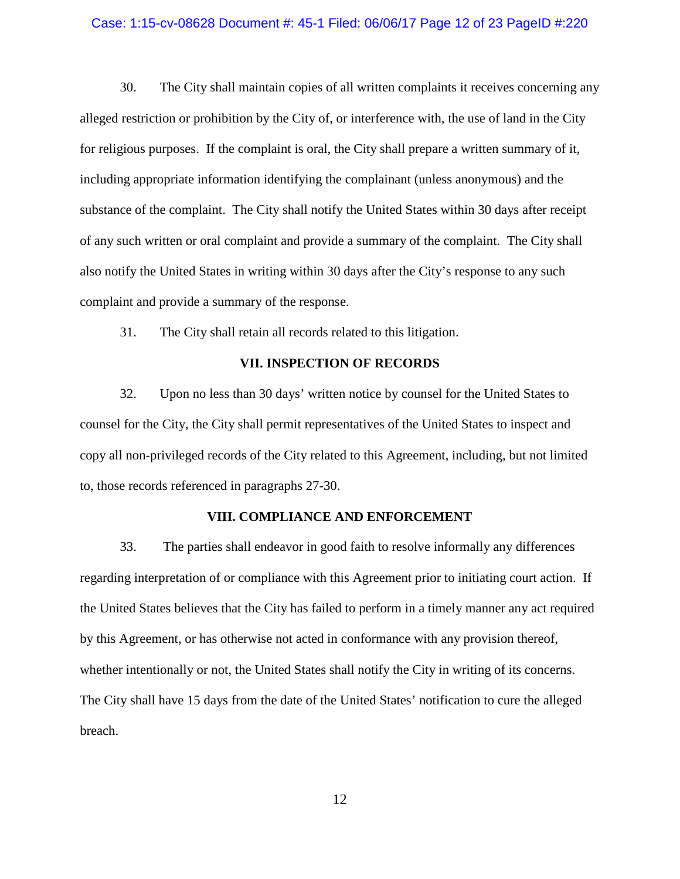#### Case: 1:15-cv-08628 Document #: 45-1 Filed: 06/06/17 Page 12 of 23 PageID #:220

30. The City shall maintain copies of all written complaints it receives concerning any alleged restriction or prohibition by the City of, or interference with, the use of land in the City for religious purposes. If the complaint is oral, the City shall prepare a written summary of it, including appropriate information identifying the complainant (unless anonymous) and the substance of the complaint. The City shall notify the United States within 30 days after receipt of any such written or oral complaint and provide a summary of the complaint. The City shall also notify the United States in writing within 30 days after the City's response to any such complaint and provide a summary of the response.

31. The City shall retain all records related to this litigation.

## **VII. INSPECTION OF RECORDS**

32. Upon no less than 30 days' written notice by counsel for the United States to counsel for the City, the City shall permit representatives of the United States to inspect and copy all non-privileged records of the City related to this Agreement, including, but not limited to, those records referenced in paragraphs 27-30.

### **VIII. COMPLIANCE AND ENFORCEMENT**

33. The parties shall endeavor in good faith to resolve informally any differences regarding interpretation of or compliance with this Agreement prior to initiating court action. If the United States believes that the City has failed to perform in a timely manner any act required by this Agreement, or has otherwise not acted in conformance with any provision thereof, whether intentionally or not, the United States shall notify the City in writing of its concerns. The City shall have 15 days from the date of the United States' notification to cure the alleged breach.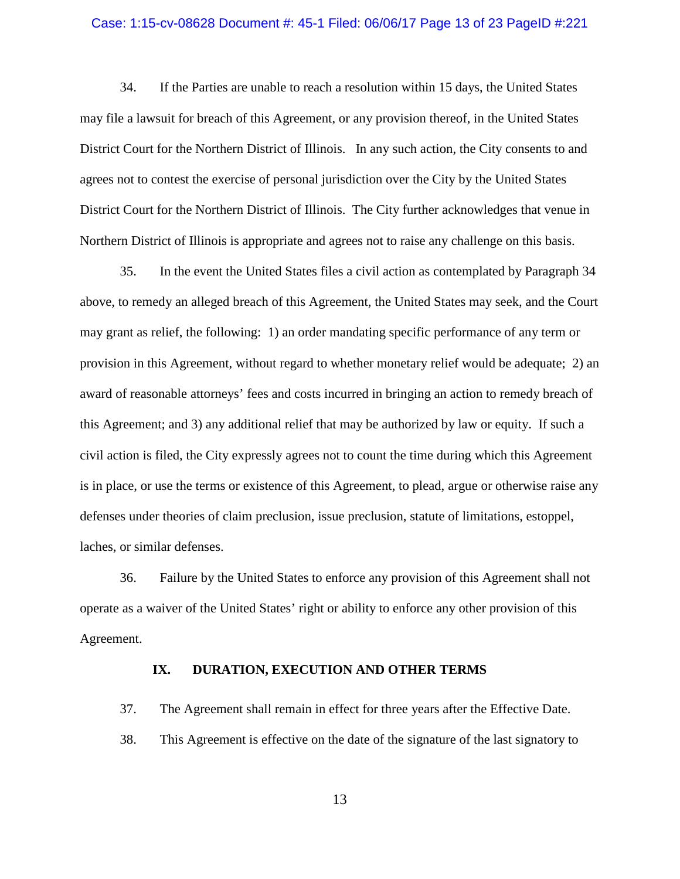#### Case: 1:15-cv-08628 Document #: 45-1 Filed: 06/06/17 Page 13 of 23 PageID #:221

34. If the Parties are unable to reach a resolution within 15 days, the United States may file a lawsuit for breach of this Agreement, or any provision thereof, in the United States District Court for the Northern District of Illinois. In any such action, the City consents to and agrees not to contest the exercise of personal jurisdiction over the City by the United States District Court for the Northern District of Illinois. The City further acknowledges that venue in Northern District of Illinois is appropriate and agrees not to raise any challenge on this basis.

35. In the event the United States files a civil action as contemplated by Paragraph 34 above, to remedy an alleged breach of this Agreement, the United States may seek, and the Court may grant as relief, the following: 1) an order mandating specific performance of any term or provision in this Agreement, without regard to whether monetary relief would be adequate; 2) an award of reasonable attorneys' fees and costs incurred in bringing an action to remedy breach of this Agreement; and 3) any additional relief that may be authorized by law or equity. If such a civil action is filed, the City expressly agrees not to count the time during which this Agreement is in place, or use the terms or existence of this Agreement, to plead, argue or otherwise raise any defenses under theories of claim preclusion, issue preclusion, statute of limitations, estoppel, laches, or similar defenses.

36. Failure by the United States to enforce any provision of this Agreement shall not operate as a waiver of the United States' right or ability to enforce any other provision of this Agreement.

## **IX. DURATION, EXECUTION AND OTHER TERMS**

37. The Agreement shall remain in effect for three years after the Effective Date.

38. This Agreement is effective on the date of the signature of the last signatory to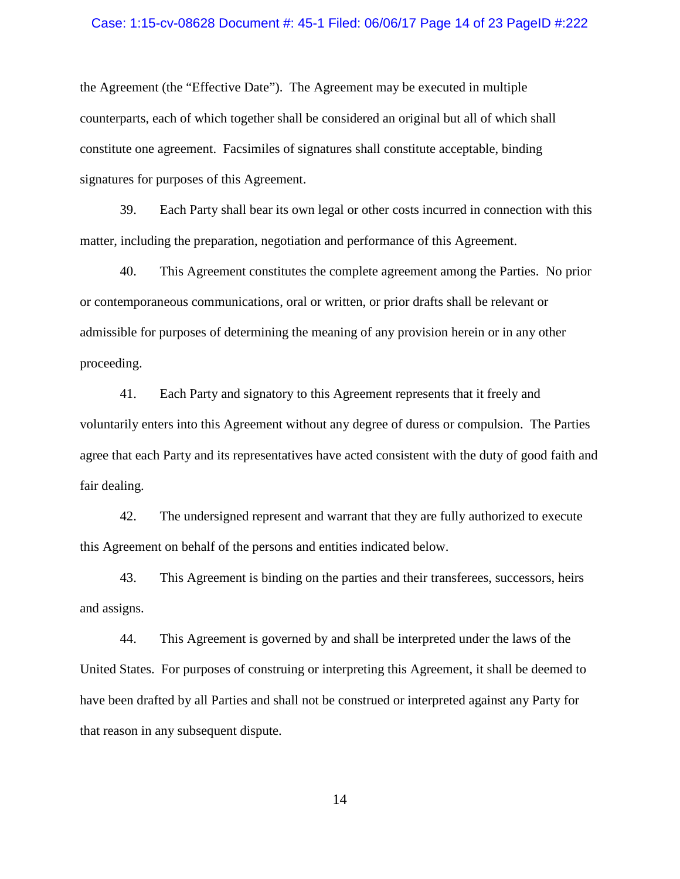#### Case: 1:15-cv-08628 Document #: 45-1 Filed: 06/06/17 Page 14 of 23 PageID #:222

the Agreement (the "Effective Date"). The Agreement may be executed in multiple counterparts, each of which together shall be considered an original but all of which shall constitute one agreement. Facsimiles of signatures shall constitute acceptable, binding signatures for purposes of this Agreement.

39. Each Party shall bear its own legal or other costs incurred in connection with this matter, including the preparation, negotiation and performance of this Agreement.

40. This Agreement constitutes the complete agreement among the Parties. No prior or contemporaneous communications, oral or written, or prior drafts shall be relevant or admissible for purposes of determining the meaning of any provision herein or in any other proceeding.

41. Each Party and signatory to this Agreement represents that it freely and voluntarily enters into this Agreement without any degree of duress or compulsion. The Parties agree that each Party and its representatives have acted consistent with the duty of good faith and fair dealing.

42. The undersigned represent and warrant that they are fully authorized to execute this Agreement on behalf of the persons and entities indicated below.

43. This Agreement is binding on the parties and their transferees, successors, heirs and assigns.

44. This Agreement is governed by and shall be interpreted under the laws of the United States. For purposes of construing or interpreting this Agreement, it shall be deemed to have been drafted by all Parties and shall not be construed or interpreted against any Party for that reason in any subsequent dispute.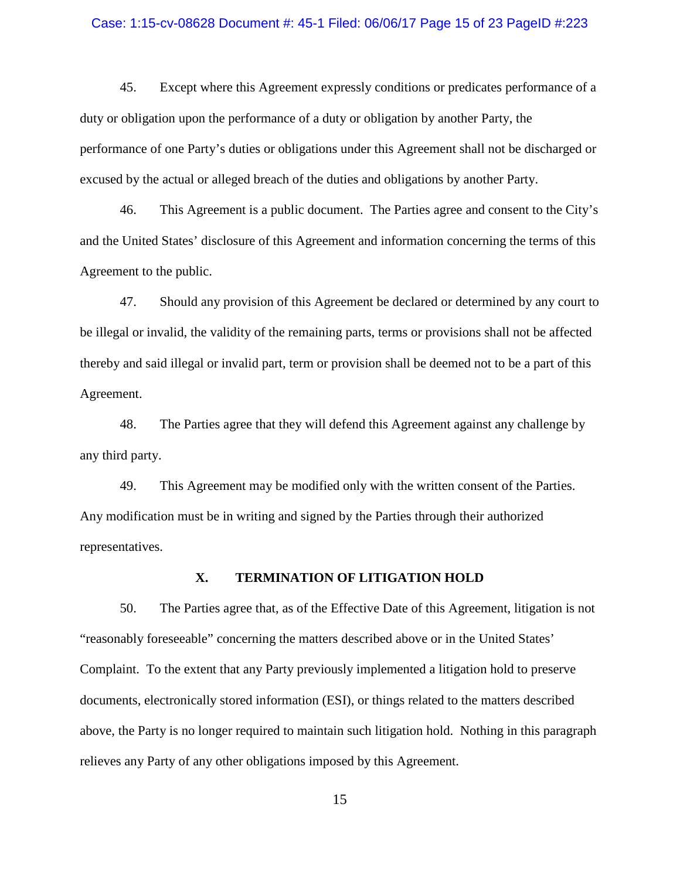#### Case: 1:15-cv-08628 Document #: 45-1 Filed: 06/06/17 Page 15 of 23 PageID #:223

45. Except where this Agreement expressly conditions or predicates performance of a duty or obligation upon the performance of a duty or obligation by another Party, the performance of one Party's duties or obligations under this Agreement shall not be discharged or excused by the actual or alleged breach of the duties and obligations by another Party.

46. This Agreement is a public document. The Parties agree and consent to the City's and the United States' disclosure of this Agreement and information concerning the terms of this Agreement to the public.

47. Should any provision of this Agreement be declared or determined by any court to be illegal or invalid, the validity of the remaining parts, terms or provisions shall not be affected thereby and said illegal or invalid part, term or provision shall be deemed not to be a part of this Agreement.

48. The Parties agree that they will defend this Agreement against any challenge by any third party.

49. This Agreement may be modified only with the written consent of the Parties. Any modification must be in writing and signed by the Parties through their authorized representatives.

### **X. TERMINATION OF LITIGATION HOLD**

50. The Parties agree that, as of the Effective Date of this Agreement, litigation is not "reasonably foreseeable" concerning the matters described above or in the United States' Complaint. To the extent that any Party previously implemented a litigation hold to preserve documents, electronically stored information (ESI), or things related to the matters described above, the Party is no longer required to maintain such litigation hold. Nothing in this paragraph relieves any Party of any other obligations imposed by this Agreement.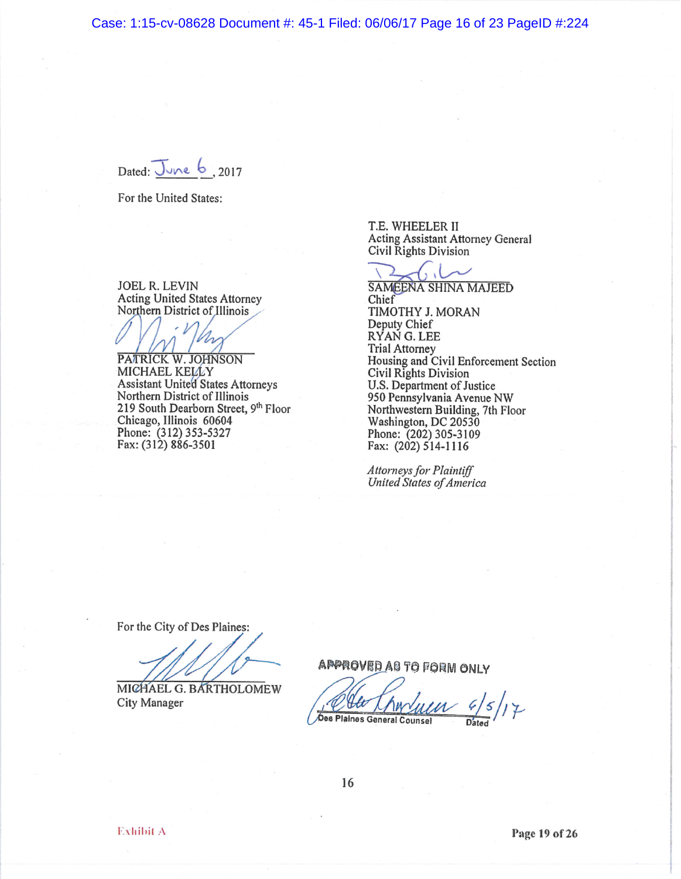Case: 1:15-cv-08628 Document #: 45-1 Filed: 06/06/17 Page 16 of 23 PageID #:224

Dated: June  $6_{.2017}$ 

For the United States:

**JOEL R. LEVIN Acting United States Attorney** Northern District of Illinois

PATRICK W. JOHNSON MICHAEL KELLY **Assistant United States Attorneys** Northern District of Illinois 219 South Dearborn Street, 9th Floor Chicago, Illinois 60604 Phone: (312) 353-5327<br>Fax: (312) 886-3501

T.E. WHEELER II Acting Assistant Attorney General Civil Rights Division

 $\left\{ \ldots \right\}$ 

**SAMEENA SHINA MAJEED** Chief TIMOTHY J. MORAN Deputy Chief RYAN G. LEE **Trial Attorney** Housing and Civil Enforcement Section Civil Rights Division U.S. Department of Justice 950 Pennsylvania Avenue NW Northwestern Building, 7th Floor Washington, DC 20530 Phone: (202) 305-3109<br>Fax: (202) 514-1116

**Attorneys for Plaintiff** United States of America

For the City of Des Plaines:

MICHAEL G. BARTHOLOMEW **City Manager** 

APPROVED AS TO FORM ONLY

Des Plaines General Counsel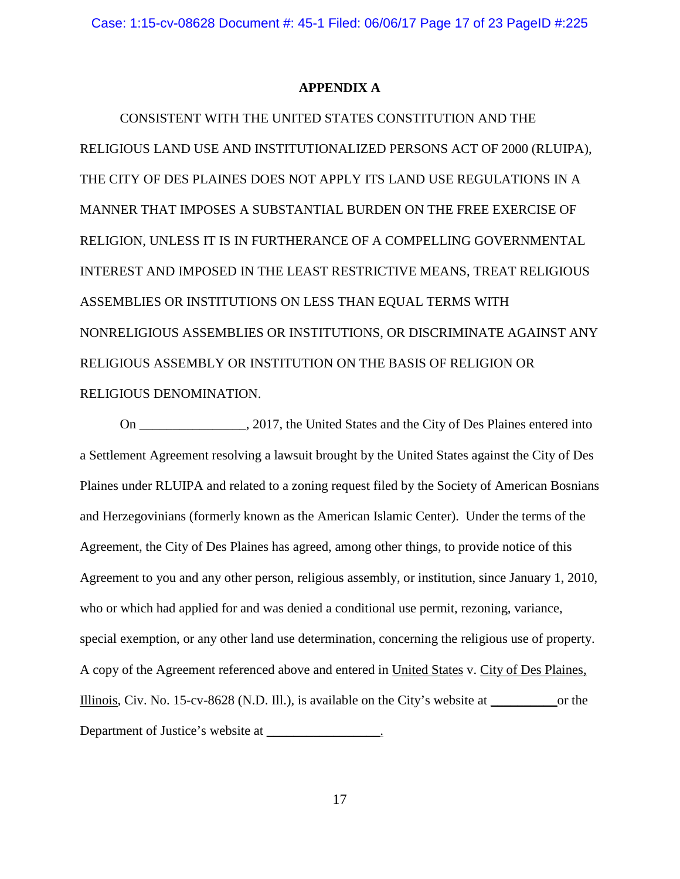### **APPENDIX A**

CONSISTENT WITH THE UNITED STATES CONSTITUTION AND THE RELIGIOUS LAND USE AND INSTITUTIONALIZED PERSONS ACT OF 2000 (RLUIPA), THE CITY OF DES PLAINES DOES NOT APPLY ITS LAND USE REGULATIONS IN A MANNER THAT IMPOSES A SUBSTANTIAL BURDEN ON THE FREE EXERCISE OF RELIGION, UNLESS IT IS IN FURTHERANCE OF A COMPELLING GOVERNMENTAL INTEREST AND IMPOSED IN THE LEAST RESTRICTIVE MEANS, TREAT RELIGIOUS ASSEMBLIES OR INSTITUTIONS ON LESS THAN EQUAL TERMS WITH NONRELIGIOUS ASSEMBLIES OR INSTITUTIONS, OR DISCRIMINATE AGAINST ANY RELIGIOUS ASSEMBLY OR INSTITUTION ON THE BASIS OF RELIGION OR RELIGIOUS DENOMINATION.

On \_\_\_\_\_\_\_\_\_\_\_\_\_\_\_\_, 2017, the United States and the City of Des Plaines entered into a Settlement Agreement resolving a lawsuit brought by the United States against the City of Des Plaines under RLUIPA and related to a zoning request filed by the Society of American Bosnians and Herzegovinians (formerly known as the American Islamic Center). Under the terms of the Agreement, the City of Des Plaines has agreed, among other things, to provide notice of this Agreement to you and any other person, religious assembly, or institution, since January 1, 2010, who or which had applied for and was denied a conditional use permit, rezoning, variance, special exemption, or any other land use determination, concerning the religious use of property. A copy of the Agreement referenced above and entered in United States v. City of Des Plaines, Illinois, Civ. No. 15-cv-8628 (N.D. Ill.), is available on the City's website at \_\_\_\_\_\_\_\_\_\_or the Department of Justice's website at \_\_\_\_\_\_\_\_\_\_\_\_\_\_\_\_.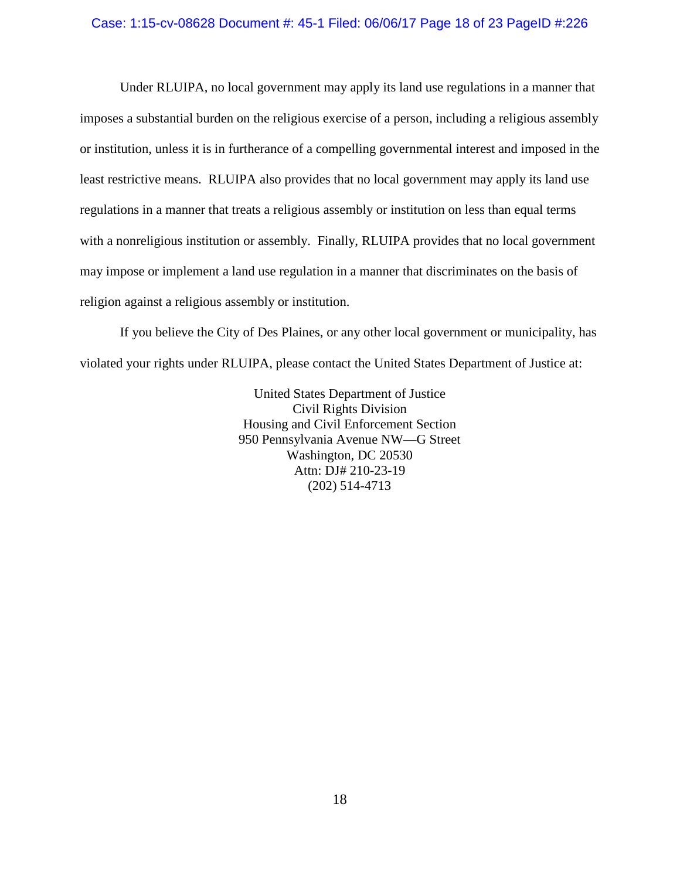### Case: 1:15-cv-08628 Document #: 45-1 Filed: 06/06/17 Page 18 of 23 PageID #:226

Under RLUIPA, no local government may apply its land use regulations in a manner that imposes a substantial burden on the religious exercise of a person, including a religious assembly or institution, unless it is in furtherance of a compelling governmental interest and imposed in the least restrictive means. RLUIPA also provides that no local government may apply its land use regulations in a manner that treats a religious assembly or institution on less than equal terms with a nonreligious institution or assembly. Finally, RLUIPA provides that no local government may impose or implement a land use regulation in a manner that discriminates on the basis of religion against a religious assembly or institution.

If you believe the City of Des Plaines, or any other local government or municipality, has violated your rights under RLUIPA, please contact the United States Department of Justice at:

> United States Department of Justice Civil Rights Division Housing and Civil Enforcement Section 950 Pennsylvania Avenue NW—G Street Washington, DC 20530 Attn: DJ# 210-23-19 (202) 514-4713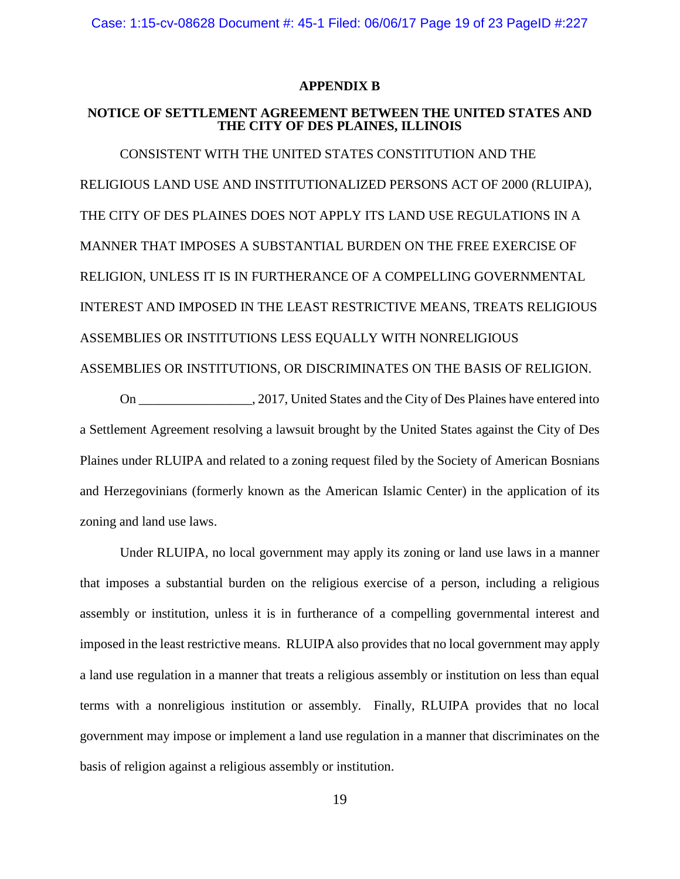### **APPENDIX B**

## **NOTICE OF SETTLEMENT AGREEMENT BETWEEN THE UNITED STATES AND THE CITY OF DES PLAINES, ILLINOIS**

CONSISTENT WITH THE UNITED STATES CONSTITUTION AND THE RELIGIOUS LAND USE AND INSTITUTIONALIZED PERSONS ACT OF 2000 (RLUIPA), THE CITY OF DES PLAINES DOES NOT APPLY ITS LAND USE REGULATIONS IN A MANNER THAT IMPOSES A SUBSTANTIAL BURDEN ON THE FREE EXERCISE OF RELIGION, UNLESS IT IS IN FURTHERANCE OF A COMPELLING GOVERNMENTAL INTEREST AND IMPOSED IN THE LEAST RESTRICTIVE MEANS, TREATS RELIGIOUS ASSEMBLIES OR INSTITUTIONS LESS EQUALLY WITH NONRELIGIOUS ASSEMBLIES OR INSTITUTIONS, OR DISCRIMINATES ON THE BASIS OF RELIGION.

On \_\_\_\_\_\_\_\_\_\_\_\_\_\_\_\_\_, 2017, United States and the City of Des Plaines have entered into a Settlement Agreement resolving a lawsuit brought by the United States against the City of Des Plaines under RLUIPA and related to a zoning request filed by the Society of American Bosnians and Herzegovinians (formerly known as the American Islamic Center) in the application of its zoning and land use laws.

Under RLUIPA, no local government may apply its zoning or land use laws in a manner that imposes a substantial burden on the religious exercise of a person, including a religious assembly or institution, unless it is in furtherance of a compelling governmental interest and imposed in the least restrictive means. RLUIPA also provides that no local government may apply a land use regulation in a manner that treats a religious assembly or institution on less than equal terms with a nonreligious institution or assembly. Finally, RLUIPA provides that no local government may impose or implement a land use regulation in a manner that discriminates on the basis of religion against a religious assembly or institution.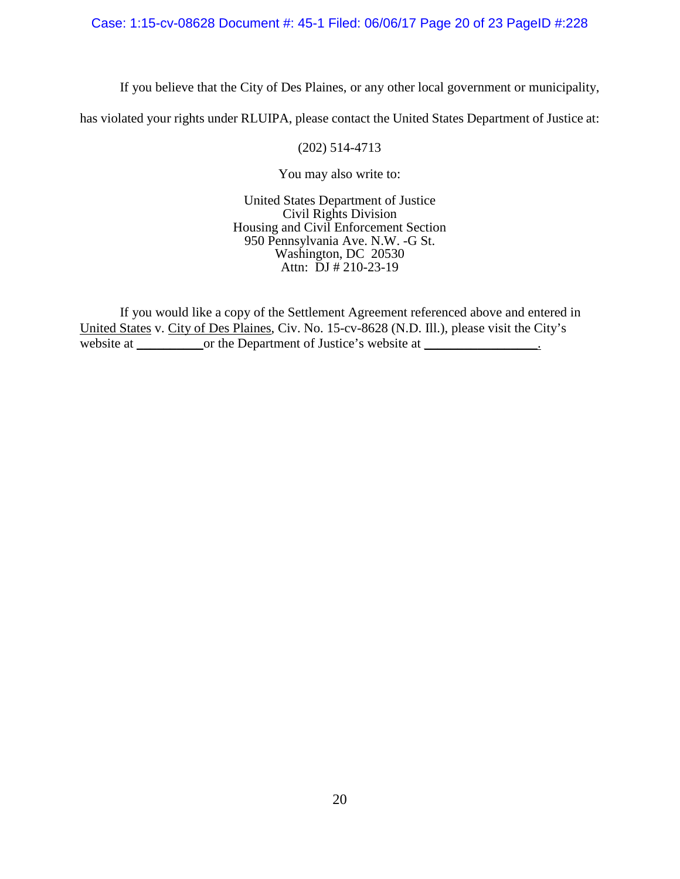## Case: 1:15-cv-08628 Document #: 45-1 Filed: 06/06/17 Page 20 of 23 PageID #:228

If you believe that the City of Des Plaines, or any other local government or municipality,

has violated your rights under RLUIPA, please contact the United States Department of Justice at:

### (202) 514-4713

You may also write to:

United States Department of Justice Civil Rights Division Housing and Civil Enforcement Section 950 Pennsylvania Ave. N.W. -G St. Washington, DC 20530 Attn:  $\bar{D}J \# 210-23-19$ 

If you would like a copy of the Settlement Agreement referenced above and entered in United States v. City of Des Plaines, Civ. No. 15-cv-8628 (N.D. Ill.), please visit the City's website at \_\_\_\_\_\_\_\_\_\_\_\_or the Department of Justice's website at \_\_\_\_\_\_\_\_\_\_\_\_\_\_\_.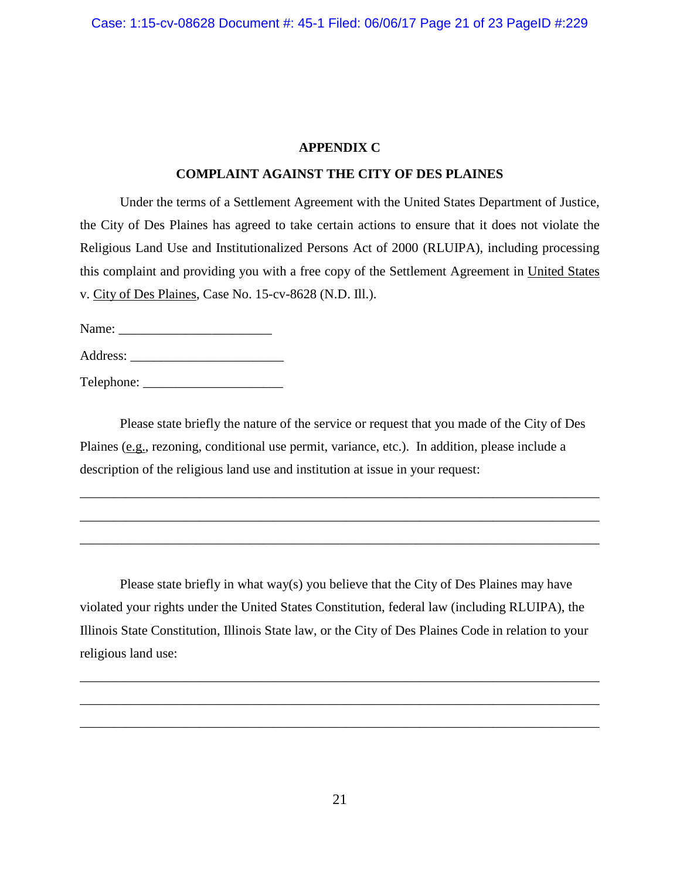# **APPENDIX C**

# **COMPLAINT AGAINST THE CITY OF DES PLAINES**

Under the terms of a Settlement Agreement with the United States Department of Justice, the City of Des Plaines has agreed to take certain actions to ensure that it does not violate the Religious Land Use and Institutionalized Persons Act of 2000 (RLUIPA), including processing this complaint and providing you with a free copy of the Settlement Agreement in United States v. City of Des Plaines, Case No. 15-cv-8628 (N.D. Ill.).

Name: \_\_\_\_\_\_\_\_\_\_\_\_\_\_\_\_\_\_\_\_\_\_\_

Address:

Telephone: \_\_\_\_\_\_\_\_\_\_\_\_\_\_\_\_\_\_\_\_\_

Please state briefly the nature of the service or request that you made of the City of Des Plaines (e.g., rezoning, conditional use permit, variance, etc.). In addition, please include a description of the religious land use and institution at issue in your request:

\_\_\_\_\_\_\_\_\_\_\_\_\_\_\_\_\_\_\_\_\_\_\_\_\_\_\_\_\_\_\_\_\_\_\_\_\_\_\_\_\_\_\_\_\_\_\_\_\_\_\_\_\_\_\_\_\_\_\_\_\_\_\_\_\_\_\_\_\_\_\_\_\_\_\_\_\_\_

\_\_\_\_\_\_\_\_\_\_\_\_\_\_\_\_\_\_\_\_\_\_\_\_\_\_\_\_\_\_\_\_\_\_\_\_\_\_\_\_\_\_\_\_\_\_\_\_\_\_\_\_\_\_\_\_\_\_\_\_\_\_\_\_\_\_\_\_\_\_\_\_\_\_\_\_\_\_

\_\_\_\_\_\_\_\_\_\_\_\_\_\_\_\_\_\_\_\_\_\_\_\_\_\_\_\_\_\_\_\_\_\_\_\_\_\_\_\_\_\_\_\_\_\_\_\_\_\_\_\_\_\_\_\_\_\_\_\_\_\_\_\_\_\_\_\_\_\_\_\_\_\_\_\_\_\_

Please state briefly in what way(s) you believe that the City of Des Plaines may have violated your rights under the United States Constitution, federal law (including RLUIPA), the Illinois State Constitution, Illinois State law, or the City of Des Plaines Code in relation to your religious land use:

\_\_\_\_\_\_\_\_\_\_\_\_\_\_\_\_\_\_\_\_\_\_\_\_\_\_\_\_\_\_\_\_\_\_\_\_\_\_\_\_\_\_\_\_\_\_\_\_\_\_\_\_\_\_\_\_\_\_\_\_\_\_\_\_\_\_\_\_\_\_\_\_\_\_\_\_\_\_

\_\_\_\_\_\_\_\_\_\_\_\_\_\_\_\_\_\_\_\_\_\_\_\_\_\_\_\_\_\_\_\_\_\_\_\_\_\_\_\_\_\_\_\_\_\_\_\_\_\_\_\_\_\_\_\_\_\_\_\_\_\_\_\_\_\_\_\_\_\_\_\_\_\_\_\_\_\_

\_\_\_\_\_\_\_\_\_\_\_\_\_\_\_\_\_\_\_\_\_\_\_\_\_\_\_\_\_\_\_\_\_\_\_\_\_\_\_\_\_\_\_\_\_\_\_\_\_\_\_\_\_\_\_\_\_\_\_\_\_\_\_\_\_\_\_\_\_\_\_\_\_\_\_\_\_\_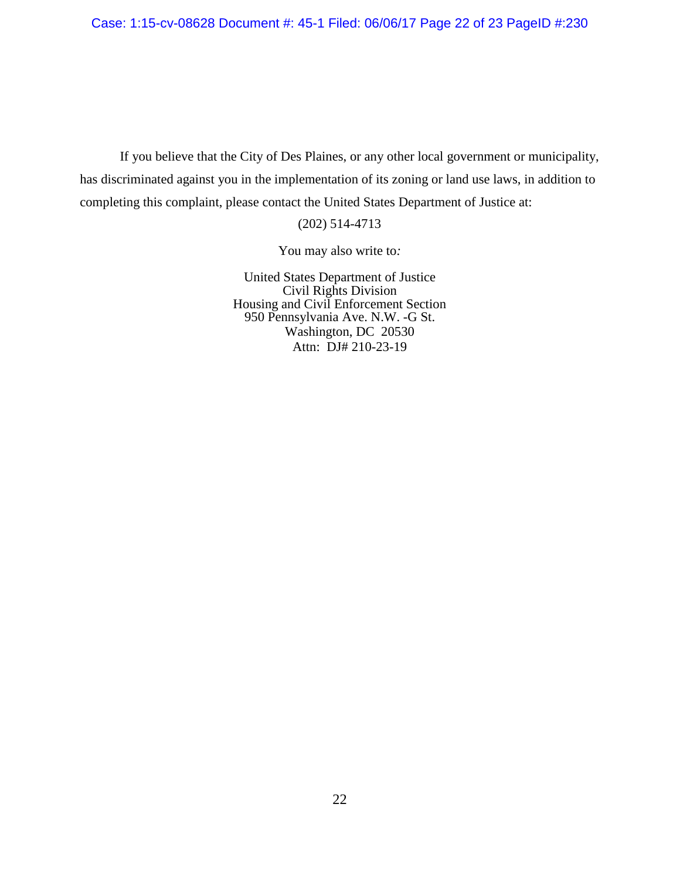Case: 1:15-cv-08628 Document #: 45-1 Filed: 06/06/17 Page 22 of 23 PageID #:230

If you believe that the City of Des Plaines, or any other local government or municipality, has discriminated against you in the implementation of its zoning or land use laws, in addition to completing this complaint, please contact the United States Department of Justice at:

(202) 514-4713

You may also write to*:*

United States Department of Justice Civil Rights Division Housing and Civil Enforcement Section 950 Pennsylvania Ave. N.W. -G St. Washington, DC 20530 Attn: DJ# 210-23-19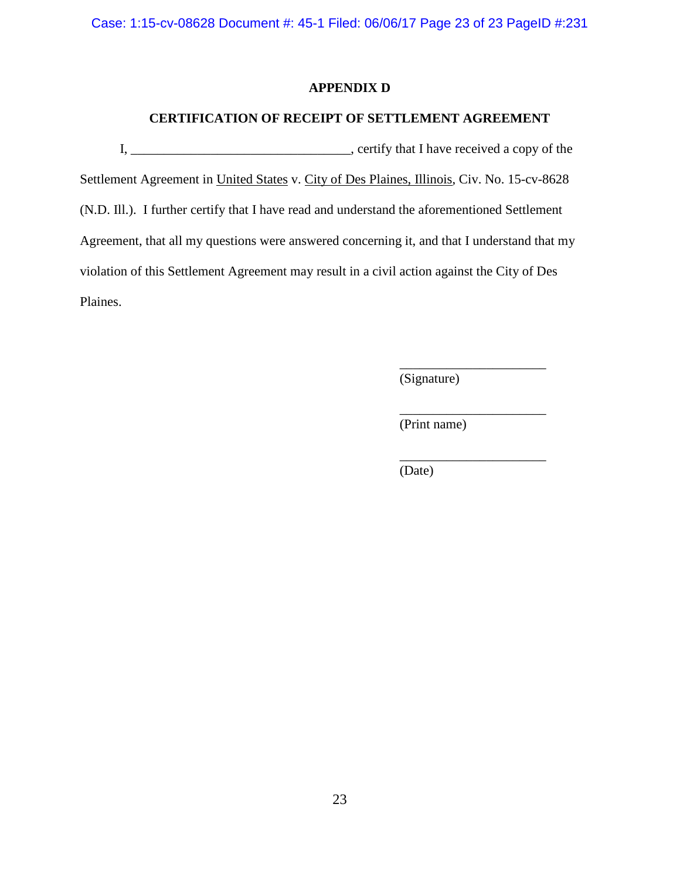Case: 1:15-cv-08628 Document #: 45-1 Filed: 06/06/17 Page 23 of 23 PageID #:231

# **APPENDIX D**

# **CERTIFICATION OF RECEIPT OF SETTLEMENT AGREEMENT**

I, \_\_\_\_\_\_\_\_\_\_\_\_\_\_\_\_\_\_\_\_\_\_\_\_\_\_\_\_\_\_\_\_\_, certify that I have received a copy of the Settlement Agreement in United States v. City of Des Plaines, Illinois, Civ. No. 15-cv-8628 (N.D. Ill.). I further certify that I have read and understand the aforementioned Settlement Agreement, that all my questions were answered concerning it, and that I understand that my violation of this Settlement Agreement may result in a civil action against the City of Des Plaines.

> \_\_\_\_\_\_\_\_\_\_\_\_\_\_\_\_\_\_\_\_\_\_ (Signature)

(Print name)

\_\_\_\_\_\_\_\_\_\_\_\_\_\_\_\_\_\_\_\_\_\_

\_\_\_\_\_\_\_\_\_\_\_\_\_\_\_\_\_\_\_\_\_\_

(Date)